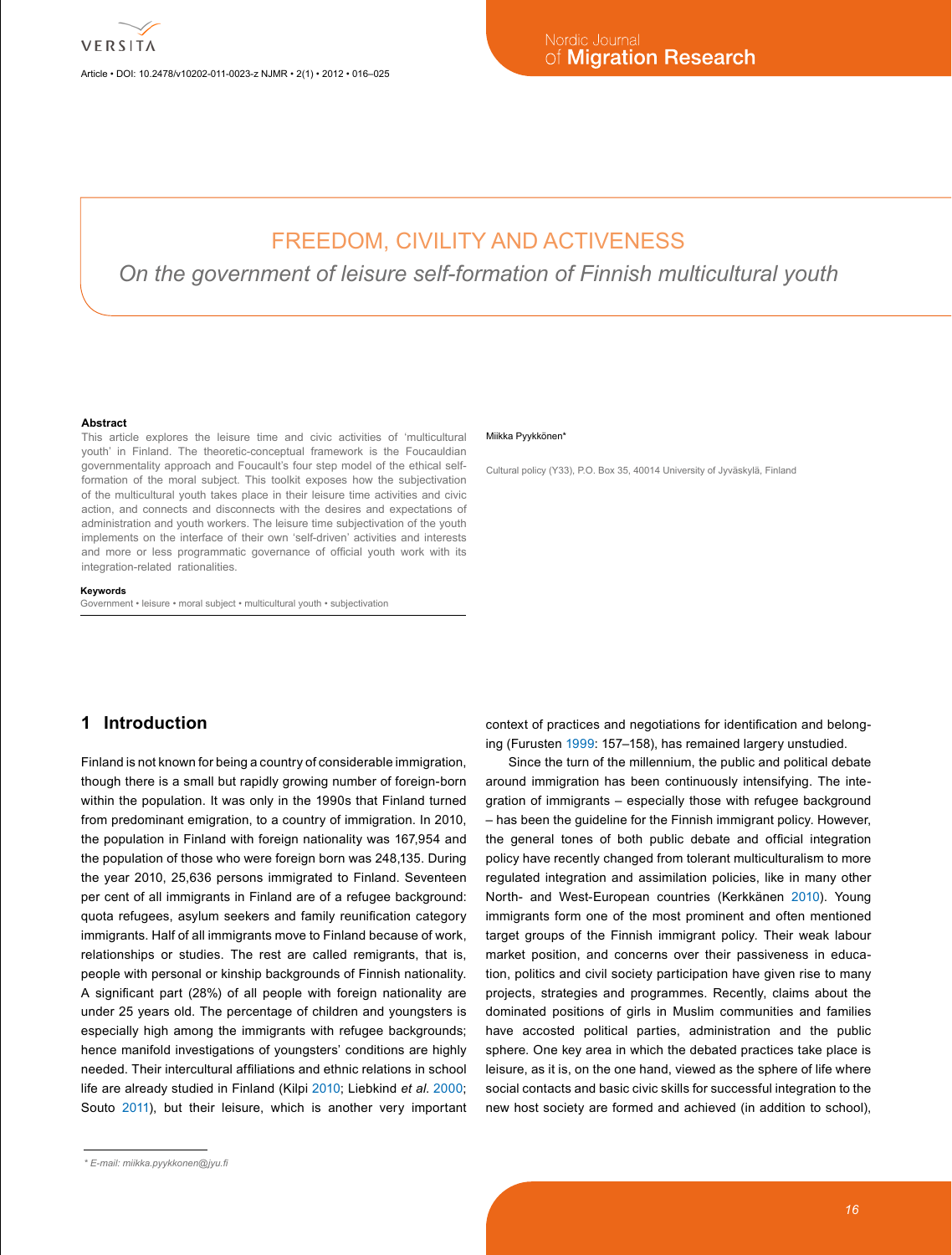Article • DOI: 10.2478/v10202-011-0023-z NJMR • 2(1) • 2012 • 016–025

# FREEDOM, CIVILITY AND ACTIVENESS

*On the government of leisure self-formation of Finnish multicultural youth*

#### **Abstract**

This article explores the leisure time and civic activities of 'multicultural youth' in Finland. The theoretic-conceptual framework is the Foucauldian governmentality approach and Foucault's four step model of the ethical selfformation of the moral subject. This toolkit exposes how the subjectivation of the multicultural youth takes place in their leisure time activities and civic action, and connects and disconnects with the desires and expectations of administration and youth workers. The leisure time subjectivation of the youth implements on the interface of their own 'self-driven' activities and interests and more or less programmatic governance of official youth work with its integration-related rationalities.

#### **Keywords**

Government • leisure • moral subject • multicultural youth • subjectivation

#### Miikka Pvvkkönen<sup>\*</sup>

Cultural policy (Y33), P.O. Box 35, 40014 University of Jyväskylä, Finland

### **1 Introduction**

Finland is not known for being a country of considerable immigration, though there is a small but rapidly growing number of foreign-born within the population. It was only in the 1990s that Finland turned from predominant emigration, to a country of immigration. In 2010, the population in Finland with foreign nationality was 167,954 and the population of those who were foreign born was 248,135. During the year 2010, 25,636 persons immigrated to Finland. Seventeen per cent of all immigrants in Finland are of a refugee background: quota refugees, asylum seekers and family reunification category immigrants. Half of all immigrants move to Finland because of work, relationships or studies. The rest are called remigrants, that is, people with personal or kinship backgrounds of Finnish nationality. A significant part (28%) of all people with foreign nationality are under 25 years old. The percentage of children and youngsters is especially high among the immigrants with refugee backgrounds; hence manifold investigations of youngsters' conditions are highly needed. Their intercultural affiliations and ethnic relations in school life are already studied in Finland (Kilpi [2010](#page-9-0); Liebkind *et al*. [2000;](#page-9-1) Souto [2011](#page-9-2)), but their leisure, which is another very important

context of practices and negotiations for identification and belonging (Furusten [1999:](#page-9-3) 157–158), has remained largery unstudied.

Since the turn of the millennium, the public and political debate around immigration has been continuously intensifying. The integration of immigrants – especially those with refugee background – has been the guideline for the Finnish immigrant policy. However, the general tones of both public debate and official integration policy have recently changed from tolerant multiculturalism to more regulated integration and assimilation policies, like in many other North- and West-European countries (Kerkkänen 2010). Young immigrants form one of the most prominent and often mentioned target groups of the Finnish immigrant policy. Their weak labour market position, and concerns over their passiveness in education, politics and civil society participation have given rise to many projects, strategies and programmes. Recently, claims about the dominated positions of girls in Muslim communities and families have accosted political parties, administration and the public sphere. One key area in which the debated practices take place is leisure, as it is, on the one hand, viewed as the sphere of life where social contacts and basic civic skills for successful integration to the new host society are formed and achieved (in addition to school),

*<sup>\*</sup> E-mail: [miikka.pyykkonen@jyu.fi](mailto:miikka.pyykkonen@jyu.fi)*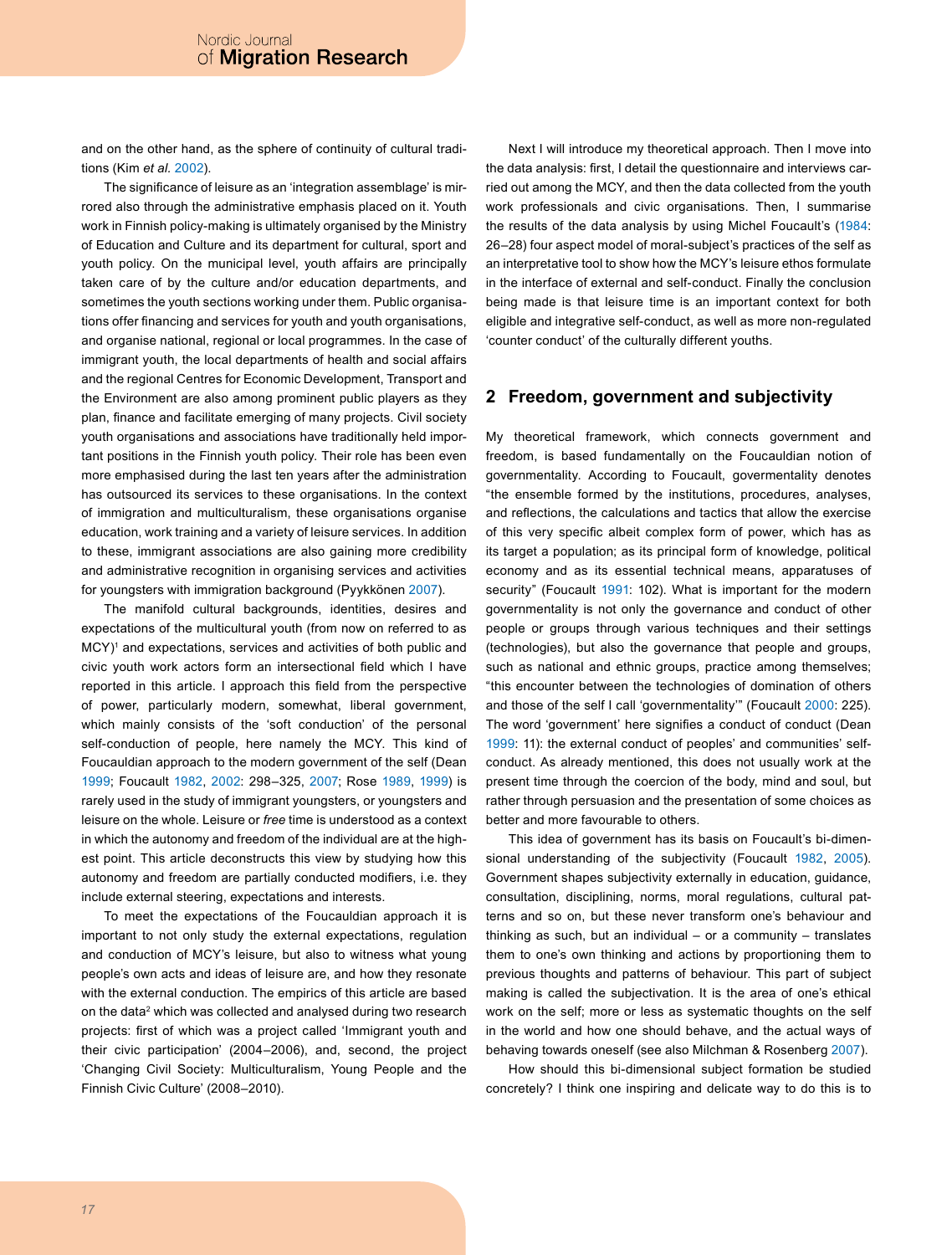and on the other hand, as the sphere of continuity of cultural traditions (Kim *et al.* [2002](#page-9-4)).

The significance of leisure as an 'integration assemblage' is mirrored also through the administrative emphasis placed on it. Youth work in Finnish policy-making is ultimately organised by the Ministry of Education and Culture and its department for cultural, sport and youth policy. On the municipal level, youth affairs are principally taken care of by the culture and/or education departments, and sometimes the youth sections working under them. Public organisations offer financing and services for youth and youth organisations, and organise national, regional or local programmes. In the case of immigrant youth, the local departments of health and social affairs and the regional Centres for Economic Development, Transport and the Environment are also among prominent public players as they plan, finance and facilitate emerging of many projects. Civil society youth organisations and associations have traditionally held important positions in the Finnish youth policy. Their role has been even more emphasised during the last ten years after the administration has outsourced its services to these organisations. In the context of immigration and multiculturalism, these organisations organise education, work training and a variety of leisure services. In addition to these, immigrant associations are also gaining more credibility and administrative recognition in organising services and activities for youngsters with immigration background (Pyykkönen 2007).

The manifold cultural backgrounds, identities, desires and expectations of the multicultural youth (from now on referred to as MCY)<sup>[1](#page-7-0)</sup> and expectations, services and activities of both public and civic youth work actors form an intersectional field which I have reported in this article. I approach this field from the perspective of power, particularly modern, somewhat, liberal government, which mainly consists of the 'soft conduction' of the personal self-conduction of people, here namely the MCY. This kind of Foucauldian approach to the modern government of the self (Dean [1999](#page-8-0); Foucault [1982](#page-8-1), [2002](#page-8-2): 298–325, [2007;](#page-8-3) Rose [1989](#page-9-5), [1999](#page-9-6)) is rarely used in the study of immigrant youngsters, or youngsters and leisure on the whole. Leisure or *free* time is understood as a context in which the autonomy and freedom of the individual are at the highest point. This article deconstructs this view by studying how this autonomy and freedom are partially conducted modifiers, i.e. they include external steering, expectations and interests.

To meet the expectations of the Foucauldian approach it is important to not only study the external expectations, regulation and conduction of MCY's leisure, but also to witness what young people's own acts and ideas of leisure are, and how they resonate with the external conduction. The empirics of this article are based on the data<sup>[2](#page-8-4)</sup> which was collected and analysed during two research projects: first of which was a project called 'Immigrant youth and their civic participation' (2004–2006), and, second, the project 'Changing Civil Society: Multiculturalism, Young People and the Finnish Civic Culture' (2008–2010).

Next I will introduce my theoretical approach. Then I move into the data analysis: first, I detail the questionnaire and interviews carried out among the MCY, and then the data collected from the youth work professionals and civic organisations. Then, I summarise the results of the data analysis by using Michel Foucault's [\(1984:](#page-8-5) 26–28) four aspect model of moral-subject's practices of the self as an interpretative tool to show how the MCY's leisure ethos formulate in the interface of external and self-conduct. Finally the conclusion being made is that leisure time is an important context for both eligible and integrative self-conduct, as well as more non-regulated 'counter conduct' of the culturally different youths.

## **2 Freedom, government and subjectivity**

My theoretical framework, which connects government and freedom, is based fundamentally on the Foucauldian notion of governmentality. According to Foucault, govermentality denotes "the ensemble formed by the institutions, procedures, analyses, and reflections, the calculations and tactics that allow the exercise of this very specific albeit complex form of power, which has as its target a population; as its principal form of knowledge, political economy and as its essential technical means, apparatuses of security" (Foucault [1991:](#page-8-6) 102). What is important for the modern governmentality is not only the governance and conduct of other people or groups through various techniques and their settings (technologies), but also the governance that people and groups, such as national and ethnic groups, practice among themselves; "this encounter between the technologies of domination of others and those of the self I call 'governmentality'" (Foucault [2000](#page-8-7): 225). The word 'government' here signifies a conduct of conduct (Dean [1999](#page-8-0): 11): the external conduct of peoples' and communities' selfconduct. As already mentioned, this does not usually work at the present time through the coercion of the body, mind and soul, but rather through persuasion and the presentation of some choices as better and more favourable to others.

This idea of government has its basis on Foucault's bi-dimensional understanding of the subjectivity (Foucault [1982](#page-8-1), [2005](#page-8-8)). Government shapes subjectivity externally in education, guidance, consultation, disciplining, norms, moral regulations, cultural patterns and so on, but these never transform one's behaviour and thinking as such, but an individual  $-$  or a community  $-$  translates them to one's own thinking and actions by proportioning them to previous thoughts and patterns of behaviour. This part of subject making is called the subjectivation. It is the area of one's ethical work on the self; more or less as systematic thoughts on the self in the world and how one should behave, and the actual ways of behaving towards oneself (see also Milchman & Rosenberg [2007](#page-9-7)).

How should this bi-dimensional subject formation be studied concretely? I think one inspiring and delicate way to do this is to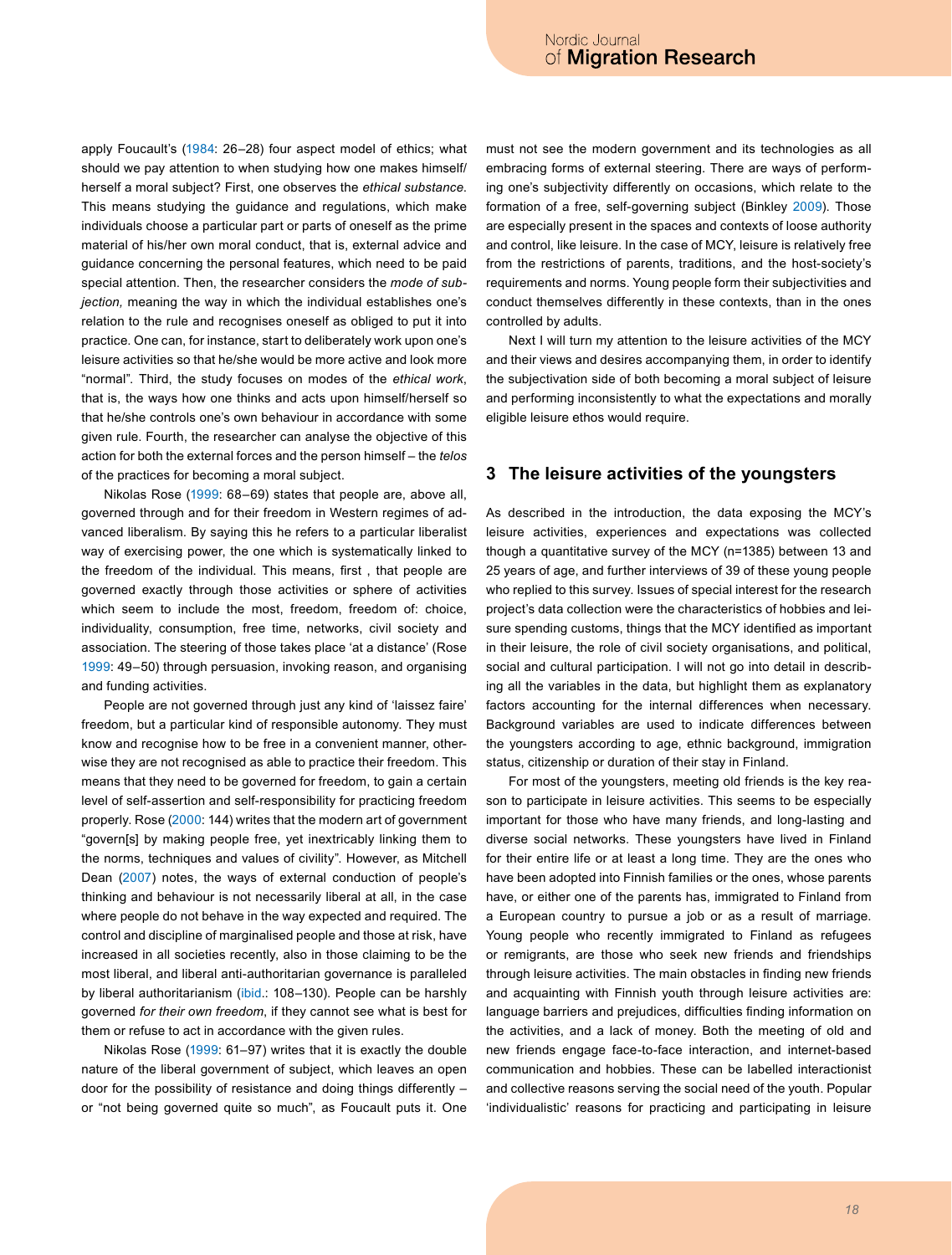apply Foucault's [\(1984](#page-8-5): 26–28) four aspect model of ethics; what should we pay attention to when studying how one makes himself/ herself a moral subject? First, one observes the *ethical substance*. This means studying the guidance and regulations, which make individuals choose a particular part or parts of oneself as the prime material of his/her own moral conduct, that is, external advice and guidance concerning the personal features, which need to be paid special attention. Then, the researcher considers the *mode of subjection,* meaning the way in which the individual establishes one's relation to the rule and recognises oneself as obliged to put it into practice. One can, for instance, start to deliberately work upon one's leisure activities so that he/she would be more active and look more "normal". Third, the study focuses on modes of the *ethical work*, that is, the ways how one thinks and acts upon himself/herself so that he/she controls one's own behaviour in accordance with some given rule. Fourth, the researcher can analyse the objective of this action for both the external forces and the person himself – the *telos* of the practices for becoming a moral subject.

Nikolas Rose [\(1999:](#page-9-6) 68–69) states that people are, above all, governed through and for their freedom in Western regimes of advanced liberalism. By saying this he refers to a particular liberalist way of exercising power, the one which is systematically linked to the freedom of the individual. This means, first , that people are governed exactly through those activities or sphere of activities which seem to include the most, freedom, freedom of: choice, individuality, consumption, free time, networks, civil society and association. The steering of those takes place 'at a distance' (Rose [1999](#page-9-6): 49–50) through persuasion, invoking reason, and organising and funding activities.

People are not governed through just any kind of 'laissez faire' freedom, but a particular kind of responsible autonomy. They must know and recognise how to be free in a convenient manner, otherwise they are not recognised as able to practice their freedom. This means that they need to be governed for freedom, to gain a certain level of self-assertion and self-responsibility for practicing freedom properly. Rose ([2000](#page-9-8): 144) writes that the modern art of government "govern[s] by making people free, yet inextricably linking them to the norms, techniques and values of civility". However, as Mitchell Dean ([2007\)](#page-8-9) notes, the ways of external conduction of people's thinking and behaviour is not necessarily liberal at all, in the case where people do not behave in the way expected and required. The control and discipline of marginalised people and those at risk, have increased in all societies recently, also in those claiming to be the most liberal, and liberal anti-authoritarian governance is paralleled by liberal authoritarianism ([ibid.](#page-8-9): 108-130). People can be harshly governed *for their own freedom*, if they cannot see what is best for them or refuse to act in accordance with the given rules.

Nikolas Rose [\(1999:](#page-9-6) 61–97) writes that it is exactly the double nature of the liberal government of subject, which leaves an open door for the possibility of resistance and doing things differently – or "not being governed quite so much", as Foucault puts it. One must not see the modern government and its technologies as all embracing forms of external steering. There are ways of performing one's subjectivity differently on occasions, which relate to the formation of a free, self-governing subject (Binkley [2009](#page-8-10)). Those are especially present in the spaces and contexts of loose authority and control, like leisure. In the case of MCY, leisure is relatively free from the restrictions of parents, traditions, and the host-society's requirements and norms. Young people form their subjectivities and conduct themselves differently in these contexts, than in the ones controlled by adults.

Next I will turn my attention to the leisure activities of the MCY and their views and desires accompanying them, in order to identify the subjectivation side of both becoming a moral subject of leisure and performing inconsistently to what the expectations and morally eligible leisure ethos would require.

#### **3 The leisure activities of the youngsters**

As described in the introduction, the data exposing the MCY's leisure activities, experiences and expectations was collected though a quantitative survey of the MCY (n=1385) between 13 and 25 years of age, and further interviews of 39 of these young people who replied to this survey. Issues of special interest for the research project's data collection were the characteristics of hobbies and leisure spending customs, things that the MCY identified as important in their leisure, the role of civil society organisations, and political, social and cultural participation. I will not go into detail in describing all the variables in the data, but highlight them as explanatory factors accounting for the internal differences when necessary. Background variables are used to indicate differences between the youngsters according to age, ethnic background, immigration status, citizenship or duration of their stay in Finland.

For most of the youngsters, meeting old friends is the key reason to participate in leisure activities. This seems to be especially important for those who have many friends, and long-lasting and diverse social networks. These youngsters have lived in Finland for their entire life or at least a long time. They are the ones who have been adopted into Finnish families or the ones, whose parents have, or either one of the parents has, immigrated to Finland from a European country to pursue a job or as a result of marriage. Young people who recently immigrated to Finland as refugees or remigrants, are those who seek new friends and friendships through leisure activities. The main obstacles in finding new friends and acquainting with Finnish youth through leisure activities are: language barriers and prejudices, difficulties finding information on the activities, and a lack of money. Both the meeting of old and new friends engage face-to-face interaction, and internet-based communication and hobbies. These can be labelled interactionist and collective reasons serving the social need of the youth. Popular 'individualistic' reasons for practicing and participating in leisure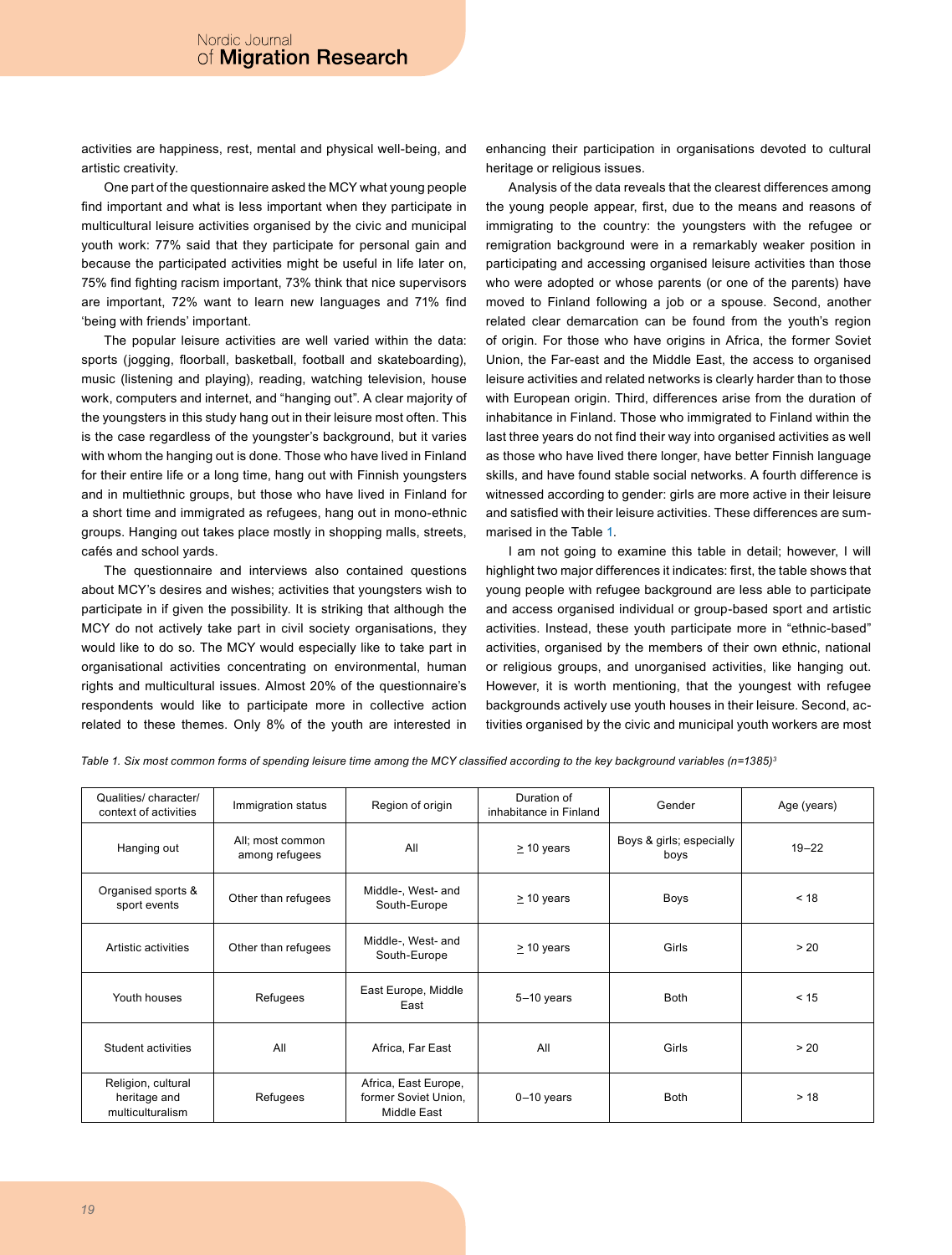activities are happiness, rest, mental and physical well-being, and artistic creativity.

One part of the questionnaire asked the MCY what young people find important and what is less important when they participate in multicultural leisure activities organised by the civic and municipal youth work: 77% said that they participate for personal gain and because the participated activities might be useful in life later on, 75% find fighting racism important, 73% think that nice supervisors are important, 72% want to learn new languages and 71% find 'being with friends' important.

The popular leisure activities are well varied within the data: sports (jogging, floorball, basketball, football and skateboarding), music (listening and playing), reading, watching television, house work, computers and internet, and "hanging out". A clear majority of the youngsters in this study hang out in their leisure most often. This is the case regardless of the youngster's background, but it varies with whom the hanging out is done. Those who have lived in Finland for their entire life or a long time, hang out with Finnish youngsters and in multiethnic groups, but those who have lived in Finland for a short time and immigrated as refugees, hang out in mono-ethnic groups. Hanging out takes place mostly in shopping malls, streets, cafés and school yards.

The questionnaire and interviews also contained questions about MCY's desires and wishes; activities that youngsters wish to participate in if given the possibility. It is striking that although the MCY do not actively take part in civil society organisations, they would like to do so. The MCY would especially like to take part in organisational activities concentrating on environmental, human rights and multicultural issues. Almost 20% of the questionnaire's respondents would like to participate more in collective action related to these themes. Only 8% of the youth are interested in enhancing their participation in organisations devoted to cultural heritage or religious issues.

Analysis of the data reveals that the clearest differences among the young people appear, first, due to the means and reasons of immigrating to the country: the youngsters with the refugee or remigration background were in a remarkably weaker position in participating and accessing organised leisure activities than those who were adopted or whose parents (or one of the parents) have moved to Finland following a job or a spouse. Second, another related clear demarcation can be found from the youth's region of origin. For those who have origins in Africa, the former Soviet Union, the Far-east and the Middle East, the access to organised leisure activities and related networks is clearly harder than to those with European origin. Third, differences arise from the duration of inhabitance in Finland. Those who immigrated to Finland within the last three years do not find their way into organised activities as well as those who have lived there longer, have better Finnish language skills, and have found stable social networks. A fourth difference is witnessed according to gender: girls are more active in their leisure and satisfied with their leisure activities. These differences are summarised in the Table [1.](#page-3-0)

I am not going to examine this table in detail; however, I will highlight two major differences it indicates: first, the table shows that young people with refugee background are less able to participate and access organised individual or group-based sport and artistic activities. Instead, these youth participate more in "ethnic-based" activities, organised by the members of their own ethnic, national or religious groups, and unorganised activities, like hanging out. However, it is worth mentioning, that the youngest with refugee backgrounds actively use youth houses in their leisure. Second, activities organised by the civic and municipal youth workers are most

<span id="page-3-0"></span>*Table 1. Six most common forms of spending leisure time among the MCY classified according to the key background variables (n=1385)[3](#page-8-11)*

| Qualities/ character/<br>context of activities         | Immigration status                 | Region of origin                                            | Duration of<br>inhabitance in Finland | Gender                           | Age (years) |
|--------------------------------------------------------|------------------------------------|-------------------------------------------------------------|---------------------------------------|----------------------------------|-------------|
| Hanging out                                            | All; most common<br>among refugees | All                                                         | $\geq$ 10 years                       | Boys & girls; especially<br>boys | $19 - 22$   |
| Organised sports &<br>sport events                     | Other than refugees                | Middle-, West- and<br>South-Europe                          | $\geq$ 10 years                       | <b>Boys</b>                      | < 18        |
| Artistic activities                                    | Other than refugees                | Middle-, West- and<br>South-Europe                          | $\geq$ 10 years                       | Girls                            | > 20        |
| Youth houses                                           | Refugees                           | East Europe, Middle<br>East                                 | $5-10$ years                          | <b>Both</b>                      | < 15        |
| Student activities                                     | All                                | Africa, Far East                                            | All                                   | Girls                            | > 20        |
| Religion, cultural<br>heritage and<br>multiculturalism | Refugees                           | Africa, East Europe,<br>former Soviet Union,<br>Middle East | $0-10$ years                          | <b>Both</b>                      | > 18        |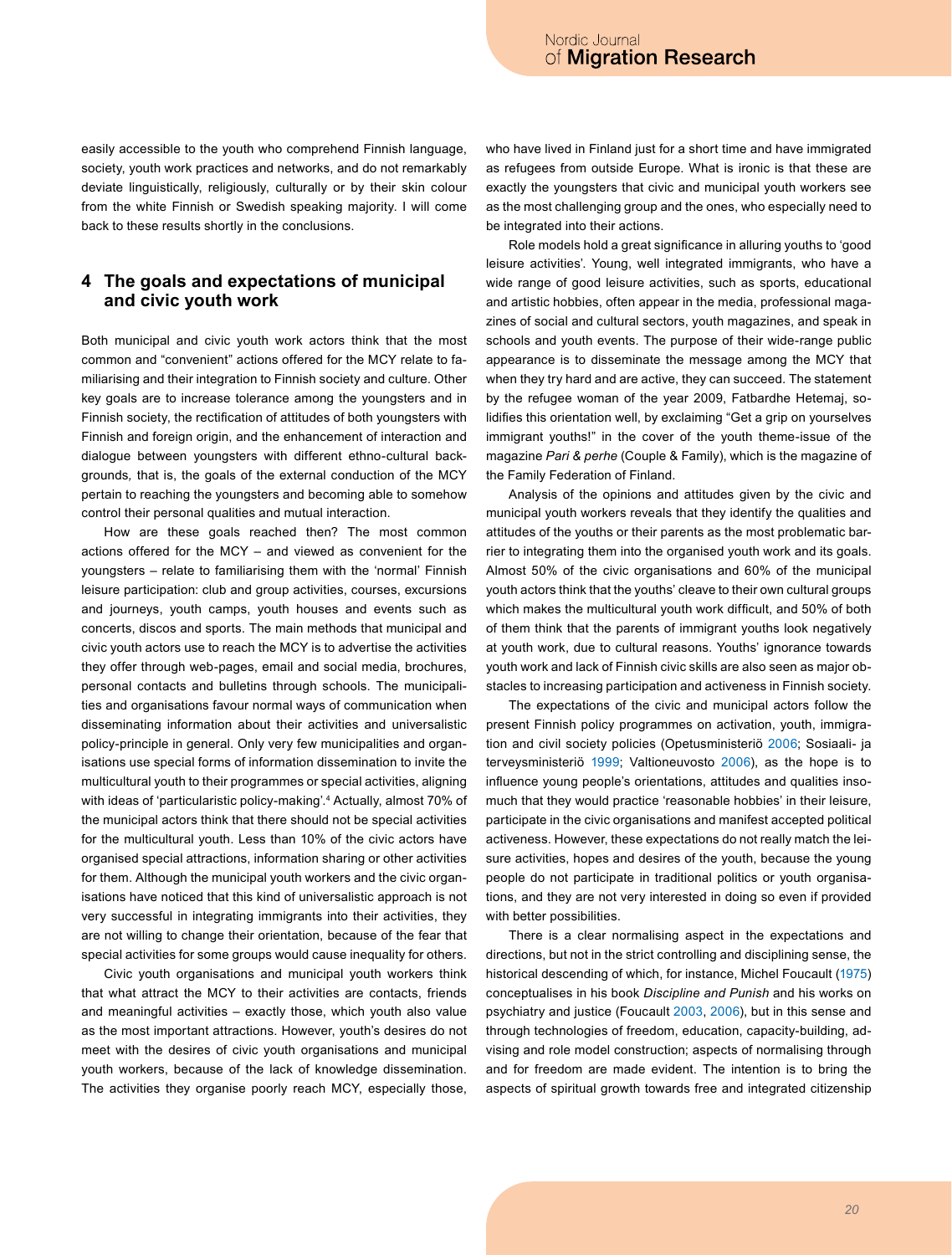easily accessible to the youth who comprehend Finnish language, society, youth work practices and networks, and do not remarkably deviate linguistically, religiously, culturally or by their skin colour from the white Finnish or Swedish speaking majority. I will come back to these results shortly in the conclusions.

## **4 The goals and expectations of municipal and civic youth work**

Both municipal and civic youth work actors think that the most common and "convenient" actions offered for the MCY relate to familiarising and their integration to Finnish society and culture. Other key goals are to increase tolerance among the youngsters and in Finnish society, the rectification of attitudes of both youngsters with Finnish and foreign origin, and the enhancement of interaction and dialogue between youngsters with different ethno-cultural backgrounds*,* that is, the goals of the external conduction of the MCY pertain to reaching the youngsters and becoming able to somehow control their personal qualities and mutual interaction.

How are these goals reached then? The most common actions offered for the MCY – and viewed as convenient for the youngsters – relate to familiarising them with the 'normal' Finnish leisure participation: club and group activities, courses, excursions and journeys, youth camps, youth houses and events such as concerts, discos and sports. The main methods that municipal and civic youth actors use to reach the MCY is to advertise the activities they offer through web-pages, email and social media, brochures, personal contacts and bulletins through schools. The municipalities and organisations favour normal ways of communication when disseminating information about their activities and universalistic policy-principle in general. Only very few municipalities and organisations use special forms of information dissemination to invite the multicultural youth to their programmes or special activities, aligning with ideas of 'particularistic policy-making'.[4](#page-8-12) Actually, almost 70% of the municipal actors think that there should not be special activities for the multicultural youth. Less than 10% of the civic actors have organised special attractions, information sharing or other activities for them. Although the municipal youth workers and the civic organisations have noticed that this kind of universalistic approach is not very successful in integrating immigrants into their activities, they are not willing to change their orientation, because of the fear that special activities for some groups would cause inequality for others.

Civic youth organisations and municipal youth workers think that what attract the MCY to their activities are contacts, friends and meaningful activities – exactly those, which youth also value as the most important attractions. However, youth's desires do not meet with the desires of civic youth organisations and municipal youth workers, because of the lack of knowledge dissemination. The activities they organise poorly reach MCY, especially those,

who have lived in Finland just for a short time and have immigrated as refugees from outside Europe. What is ironic is that these are exactly the youngsters that civic and municipal youth workers see as the most challenging group and the ones, who especially need to be integrated into their actions.

Role models hold a great significance in alluring youths to 'good leisure activities'. Young, well integrated immigrants, who have a wide range of good leisure activities, such as sports, educational and artistic hobbies, often appear in the media, professional magazines of social and cultural sectors, youth magazines, and speak in schools and youth events. The purpose of their wide-range public appearance is to disseminate the message among the MCY that when they try hard and are active, they can succeed. The statement by the refugee woman of the year 2009, Fatbardhe Hetemaj, solidifies this orientation well, by exclaiming "Get a grip on yourselves immigrant youths!" in the cover of the youth theme-issue of the magazine *Pari & perhe* (Couple & Family), which is the magazine of the Family Federation of Finland.

Analysis of the opinions and attitudes given by the civic and municipal youth workers reveals that they identify the qualities and attitudes of the youths or their parents as the most problematic barrier to integrating them into the organised youth work and its goals. Almost 50% of the civic organisations and 60% of the municipal youth actors think that the youths' cleave to their own cultural groups which makes the multicultural youth work difficult, and 50% of both of them think that the parents of immigrant youths look negatively at youth work, due to cultural reasons. Youths' ignorance towards youth work and lack of Finnish civic skills are also seen as major obstacles to increasing participation and activeness in Finnish society.

The expectations of the civic and municipal actors follow the present Finnish policy programmes on activation, youth, immigration and civil society policies (Opetusministeriö 2006; Sosiaali- ja terveysministeriö 1999; Valtioneuvosto [2006\)](#page-9-9), as the hope is to influence young people's orientations, attitudes and qualities insomuch that they would practice 'reasonable hobbies' in their leisure, participate in the civic organisations and manifest accepted political activeness. However, these expectations do not really match the leisure activities, hopes and desires of the youth, because the young people do not participate in traditional politics or youth organisations, and they are not very interested in doing so even if provided with better possibilities.

There is a clear normalising aspect in the expectations and directions, but not in the strict controlling and disciplining sense, the historical descending of which, for instance, Michel Foucault [\(1975\)](#page-8-5) conceptualises in his book *Discipline and Punish* and his works on psychiatry and justice (Foucault [2003](#page-8-13), [2006\)](#page-8-14), but in this sense and through technologies of freedom, education, capacity-building, advising and role model construction; aspects of normalising through and for freedom are made evident. The intention is to bring the aspects of spiritual growth towards free and integrated citizenship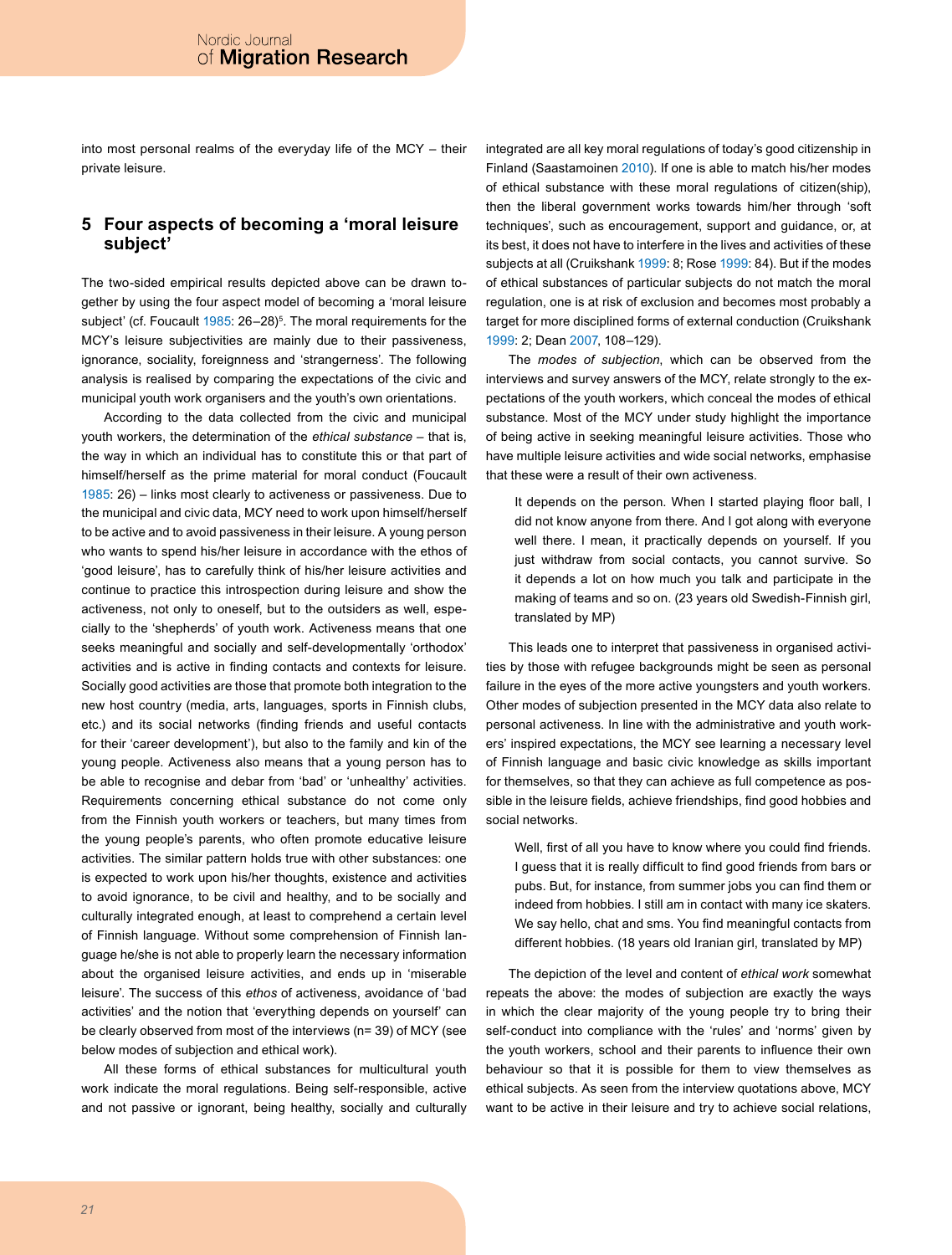into most personal realms of the everyday life of the MCY – their private leisure.

## **5 Four aspects of becoming a 'moral leisure subject'**

The two-sided empirical results depicted above can be drawn together by using the four aspect model of becoming a 'moral leisure subject' (cf. Foucault [1985:](#page-8-15) 26–28)<sup>5</sup>. The moral requirements for the MCY's leisure subjectivities are mainly due to their passiveness, ignorance, sociality, foreignness and 'strangerness'. The following analysis is realised by comparing the expectations of the civic and municipal youth work organisers and the youth's own orientations.

According to the data collected from the civic and municipal youth workers, the determination of the *ethical substance* – that is, the way in which an individual has to constitute this or that part of himself/herself as the prime material for moral conduct (Foucault [1985:](#page-8-15) 26) – links most clearly to activeness or passiveness. Due to the municipal and civic data, MCY need to work upon himself/herself to be active and to avoid passiveness in their leisure. A young person who wants to spend his/her leisure in accordance with the ethos of 'good leisure', has to carefully think of his/her leisure activities and continue to practice this introspection during leisure and show the activeness, not only to oneself, but to the outsiders as well, especially to the 'shepherds' of youth work. Activeness means that one seeks meaningful and socially and self-developmentally 'orthodox' activities and is active in finding contacts and contexts for leisure. Socially good activities are those that promote both integration to the new host country (media, arts, languages, sports in Finnish clubs, etc.) and its social networks (finding friends and useful contacts for their 'career development'), but also to the family and kin of the young people. Activeness also means that a young person has to be able to recognise and debar from 'bad' or 'unhealthy' activities. Requirements concerning ethical substance do not come only from the Finnish youth workers or teachers, but many times from the young people's parents, who often promote educative leisure activities. The similar pattern holds true with other substances: one is expected to work upon his/her thoughts, existence and activities to avoid ignorance, to be civil and healthy, and to be socially and culturally integrated enough, at least to comprehend a certain level of Finnish language. Without some comprehension of Finnish language he/she is not able to properly learn the necessary information about the organised leisure activities, and ends up in 'miserable leisure'. The success of this *ethos* of activeness, avoidance of 'bad activities' and the notion that 'everything depends on yourself' can be clearly observed from most of the interviews (n= 39) of MCY (see below modes of subjection and ethical work).

All these forms of ethical substances for multicultural youth work indicate the moral regulations. Being self-responsible, active and not passive or ignorant, being healthy, socially and culturally integrated are all key moral regulations of today's good citizenship in Finland (Saastamoinen [2010](#page-9-10)). If one is able to match his/her modes of ethical substance with these moral regulations of citizen(ship), then the liberal government works towards him/her through 'soft techniques', such as encouragement, support and guidance, or, at its best, it does not have to interfere in the lives and activities of these subjects at all (Cruikshank [1999:](#page-8-17) 8; Rose [1999](#page-9-6): 84). But if the modes of ethical substances of particular subjects do not match the moral regulation, one is at risk of exclusion and becomes most probably a target for more disciplined forms of external conduction (Cruikshank [1999:](#page-8-17) 2; Dean [2007,](#page-8-9) 108–129).

The *modes of subjection*, which can be observed from the interviews and survey answers of the MCY, relate strongly to the expectations of the youth workers, which conceal the modes of ethical substance. Most of the MCY under study highlight the importance of being active in seeking meaningful leisure activities. Those who have multiple leisure activities and wide social networks, emphasise that these were a result of their own activeness.

It depends on the person. When I started playing floor ball, I did not know anyone from there. And I got along with everyone well there. I mean, it practically depends on yourself. If you just withdraw from social contacts, you cannot survive. So it depends a lot on how much you talk and participate in the making of teams and so on. (23 years old Swedish-Finnish girl, translated by MP)

This leads one to interpret that passiveness in organised activities by those with refugee backgrounds might be seen as personal failure in the eyes of the more active youngsters and youth workers. Other modes of subjection presented in the MCY data also relate to personal activeness. In line with the administrative and youth workers' inspired expectations, the MCY see learning a necessary level of Finnish language and basic civic knowledge as skills important for themselves, so that they can achieve as full competence as possible in the leisure fields, achieve friendships, find good hobbies and social networks.

Well, first of all you have to know where you could find friends. I guess that it is really difficult to find good friends from bars or pubs. But, for instance, from summer jobs you can find them or indeed from hobbies. I still am in contact with many ice skaters. We say hello, chat and sms. You find meaningful contacts from different hobbies. (18 years old Iranian girl, translated by MP)

The depiction of the level and content of *ethical work* somewhat repeats the above: the modes of subjection are exactly the ways in which the clear majority of the young people try to bring their self-conduct into compliance with the 'rules' and 'norms' given by the youth workers, school and their parents to influence their own behaviour so that it is possible for them to view themselves as ethical subjects. As seen from the interview quotations above, MCY want to be active in their leisure and try to achieve social relations,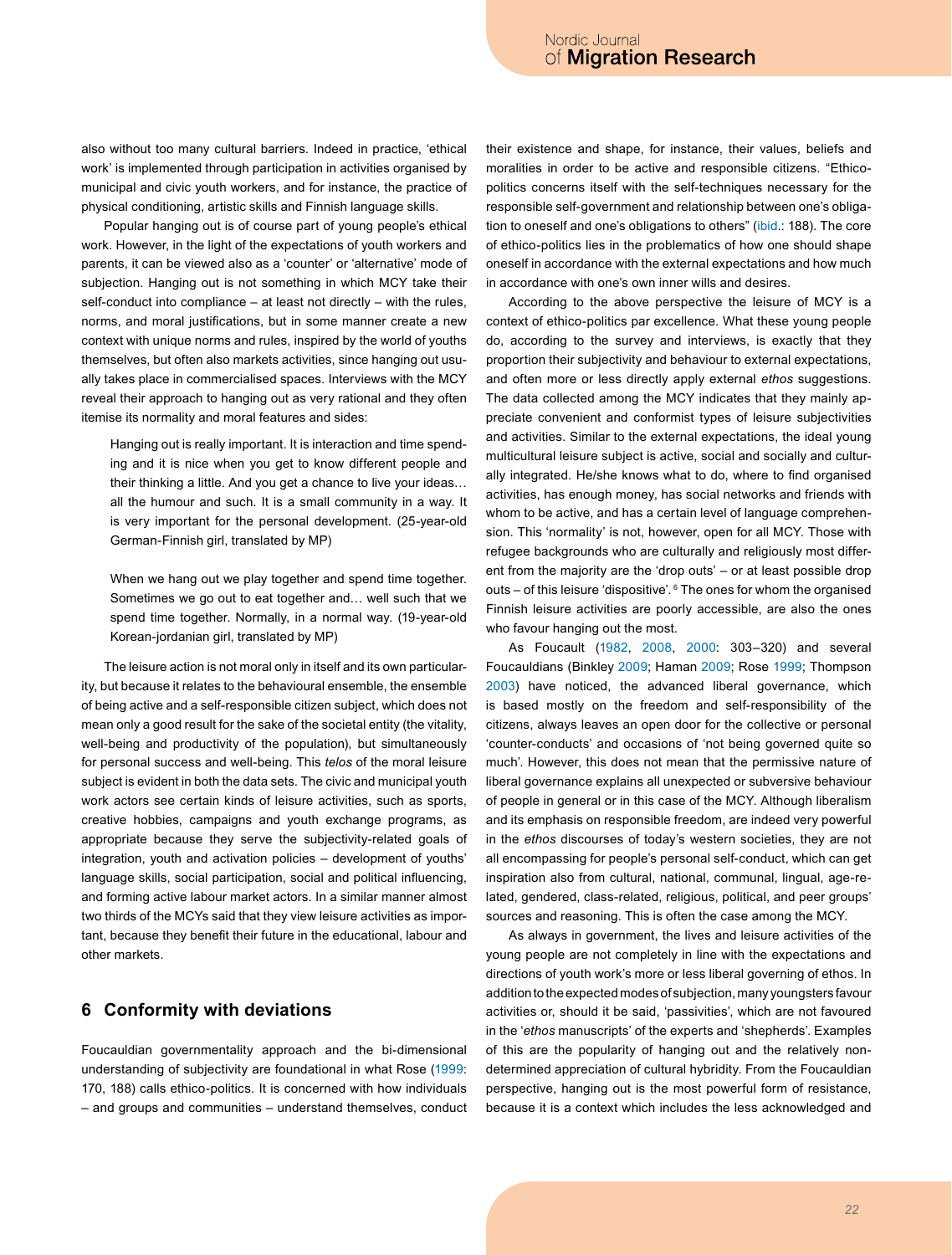also without too many cultural barriers. Indeed in practice, 'ethical work' is implemented through participation in activities organised by municipal and civic youth workers, and for instance, the practice of physical conditioning, artistic skills and Finnish language skills.

Popular hanging out is of course part of young people's ethical work. However, in the light of the expectations of youth workers and parents, it can be viewed also as a 'counter' or 'alternative' mode of subjection. Hanging out is not something in which MCY take their self-conduct into compliance – at least not directly – with the rules, norms, and moral justifications, but in some manner create a new context with unique norms and rules, inspired by the world of youths themselves, but often also markets activities, since hanging out usually takes place in commercialised spaces. Interviews with the MCY reveal their approach to hanging out as very rational and they often itemise its normality and moral features and sides:

Hanging out is really important. It is interaction and time spending and it is nice when you get to know different people and their thinking a little. And you get a chance to live your ideas… all the humour and such. It is a small community in a way. It is very important for the personal development. (25-year-old German-Finnish girl, translated by MP)

When we hang out we play together and spend time together. Sometimes we go out to eat together and… well such that we spend time together. Normally, in a normal way. (19-year-old Korean-jordanian girl, translated by MP)

The leisure action is not moral only in itself and its own particularity, but because it relates to the behavioural ensemble, the ensemble of being active and a self-responsible citizen subject, which does not mean only a good result for the sake of the societal entity (the vitality, well-being and productivity of the population), but simultaneously for personal success and well-being. This *telos* of the moral leisure subject is evident in both the data sets. The civic and municipal youth work actors see certain kinds of leisure activities, such as sports, creative hobbies, campaigns and youth exchange programs, as appropriate because they serve the subjectivity-related goals of integration, youth and activation policies – development of youths' language skills, social participation, social and political influencing, and forming active labour market actors. In a similar manner almost two thirds of the MCYs said that they view leisure activities as important, because they benefit their future in the educational, labour and other markets.

# **6 Conformity with deviations**

Foucauldian governmentality approach and the bi-dimensional understanding of subjectivity are foundational in what Rose [\(1999:](#page-9-6) 170, 188) calls ethico-politics. It is concerned with how individuals – and groups and communities – understand themselves, conduct their existence and shape, for instance, their values, beliefs and moralities in order to be active and responsible citizens. "Ethicopolitics concerns itself with the self-techniques necessary for the responsible self-government and relationship between one's obligation to oneself and one's obligations to others" ([ibid.](#page-9-6): 188). The core of ethico-politics lies in the problematics of how one should shape oneself in accordance with the external expectations and how much in accordance with one's own inner wills and desires.

According to the above perspective the leisure of MCY is a context of ethico-politics par excellence. What these young people do, according to the survey and interviews, is exactly that they proportion their subjectivity and behaviour to external expectations, and often more or less directly apply external *ethos* suggestions. The data collected among the MCY indicates that they mainly appreciate convenient and conformist types of leisure subjectivities and activities. Similar to the external expectations, the ideal young multicultural leisure subject is active, social and socially and culturally integrated. He/she knows what to do, where to find organised activities, has enough money, has social networks and friends with whom to be active, and has a certain level of language comprehension. This 'normality' is not, however, open for all MCY. Those with refugee backgrounds who are culturally and religiously most different from the majority are the 'drop outs' – or at least possible drop outs – of this leisure 'dispositive'. [6](#page-8-18) The ones for whom the organised Finnish leisure activities are poorly accessible, are also the ones who favour hanging out the most.

As Foucault [\(1982](#page-8-1), [2008](#page-8-19), [2000:](#page-8-7) 303–320) and several Foucauldians (Binkley [2009](#page-8-10); Haman [2009](#page-9-11); Rose [1999;](#page-9-6) Thompson [2003](#page-9-12)) have noticed, the advanced liberal governance, which is based mostly on the freedom and self-responsibility of the citizens, always leaves an open door for the collective or personal 'counter-conducts' and occasions of 'not being governed quite so much'. However, this does not mean that the permissive nature of liberal governance explains all unexpected or subversive behaviour of people in general or in this case of the MCY. Although liberalism and its emphasis on responsible freedom, are indeed very powerful in the *ethos* discourses of today's western societies, they are not all encompassing for people's personal self-conduct, which can get inspiration also from cultural, national, communal, lingual, age-related, gendered, class-related, religious, political, and peer groups' sources and reasoning. This is often the case among the MCY.

As always in government, the lives and leisure activities of the young people are not completely in line with the expectations and directions of youth work's more or less liberal governing of ethos. In addition to the expected modes of subjection, many youngsters favour activities or, should it be said, 'passivities', which are not favoured in the '*ethos* manuscripts' of the experts and 'shepherds'. Examples of this are the popularity of hanging out and the relatively nondetermined appreciation of cultural hybridity. From the Foucauldian perspective, hanging out is the most powerful form of resistance, because it is a context which includes the less acknowledged and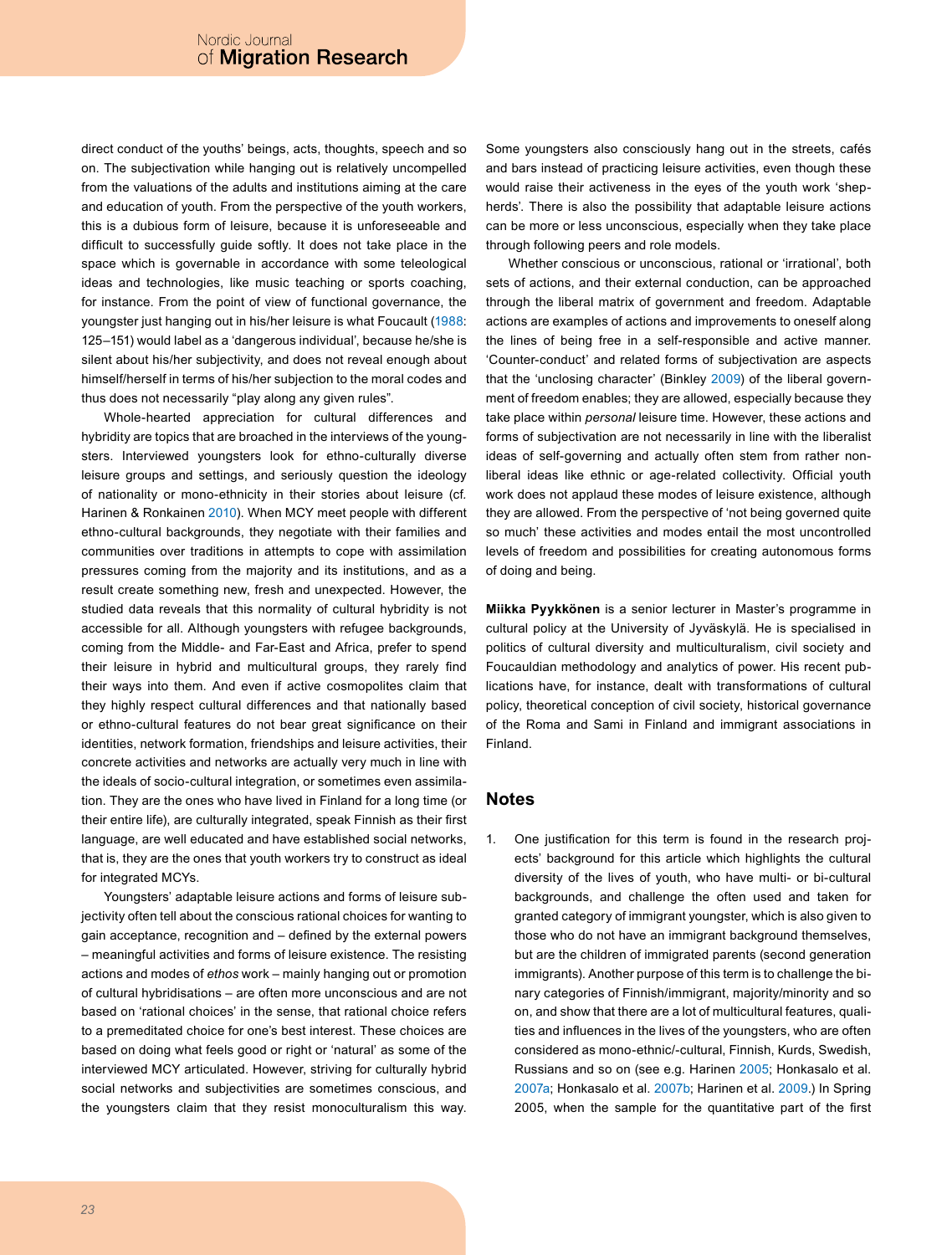direct conduct of the youths' beings, acts, thoughts, speech and so on. The subjectivation while hanging out is relatively uncompelled from the valuations of the adults and institutions aiming at the care and education of youth. From the perspective of the youth workers, this is a dubious form of leisure, because it is unforeseeable and difficult to successfully guide softly. It does not take place in the space which is governable in accordance with some teleological ideas and technologies, like music teaching or sports coaching, for instance. From the point of view of functional governance, the youngster just hanging out in his/her leisure is what Foucault [\(1988:](#page-8-20) 125–151) would label as a 'dangerous individual', because he/she is silent about his/her subjectivity, and does not reveal enough about himself/herself in terms of his/her subjection to the moral codes and thus does not necessarily "play along any given rules".

Whole-hearted appreciation for cultural differences and hybridity are topics that are broached in the interviews of the youngsters. Interviewed youngsters look for ethno-culturally diverse leisure groups and settings, and seriously question the ideology of nationality or mono-ethnicity in their stories about leisure (cf*.* Harinen & Ronkainen 2010). When MCY meet people with different ethno-cultural backgrounds, they negotiate with their families and communities over traditions in attempts to cope with assimilation pressures coming from the majority and its institutions, and as a result create something new, fresh and unexpected. However, the studied data reveals that this normality of cultural hybridity is not accessible for all. Although youngsters with refugee backgrounds, coming from the Middle- and Far-East and Africa, prefer to spend their leisure in hybrid and multicultural groups, they rarely find their ways into them. And even if active cosmopolites claim that they highly respect cultural differences and that nationally based or ethno-cultural features do not bear great significance on their identities, network formation, friendships and leisure activities, their concrete activities and networks are actually very much in line with the ideals of socio-cultural integration, or sometimes even assimilation. They are the ones who have lived in Finland for a long time (or their entire life), are culturally integrated, speak Finnish as their first language, are well educated and have established social networks, that is, they are the ones that youth workers try to construct as ideal for integrated MCYs.

Youngsters' adaptable leisure actions and forms of leisure subjectivity often tell about the conscious rational choices for wanting to gain acceptance, recognition and – defined by the external powers – meaningful activities and forms of leisure existence. The resisting actions and modes of *ethos* work – mainly hanging out or promotion of cultural hybridisations – are often more unconscious and are not based on 'rational choices' in the sense, that rational choice refers to a premeditated choice for one's best interest. These choices are based on doing what feels good or right or 'natural' as some of the interviewed MCY articulated. However, striving for culturally hybrid social networks and subjectivities are sometimes conscious, and the youngsters claim that they resist monoculturalism this way.

Some youngsters also consciously hang out in the streets, cafés and bars instead of practicing leisure activities, even though these would raise their activeness in the eyes of the youth work 'shepherds'. There is also the possibility that adaptable leisure actions can be more or less unconscious, especially when they take place through following peers and role models.

Whether conscious or unconscious, rational or 'irrational', both sets of actions, and their external conduction, can be approached through the liberal matrix of government and freedom. Adaptable actions are examples of actions and improvements to oneself along the lines of being free in a self-responsible and active manner. 'Counter-conduct' and related forms of subjectivation are aspects that the 'unclosing character' (Binkley [2009](#page-8-10)) of the liberal government of freedom enables; they are allowed, especially because they take place within *personal* leisure time. However, these actions and forms of subjectivation are not necessarily in line with the liberalist ideas of self-governing and actually often stem from rather nonliberal ideas like ethnic or age-related collectivity. Official youth work does not applaud these modes of leisure existence, although they are allowed. From the perspective of 'not being governed quite so much' these activities and modes entail the most uncontrolled levels of freedom and possibilities for creating autonomous forms of doing and being.

**Miikka Pyykkönen** is a senior lecturer in Master's programme in cultural policy at the University of Jyväskylä. He is specialised in politics of cultural diversity and multiculturalism, civil society and Foucauldian methodology and analytics of power. His recent publications have, for instance, dealt with transformations of cultural policy, theoretical conception of civil society, historical governance of the Roma and Sami in Finland and immigrant associations in Finland.

#### **Notes**

<span id="page-7-0"></span>1. One justification for this term is found in the research projects' background for this article which highlights the cultural diversity of the lives of youth, who have multi- or bi-cultural backgrounds, and challenge the often used and taken for granted category of immigrant youngster, which is also given to those who do not have an immigrant background themselves, but are the children of immigrated parents (second generation immigrants). Another purpose of this term is to challenge the binary categories of Finnish/immigrant, majority/minority and so on, and show that there are a lot of multicultural features, qualities and influences in the lives of the youngsters, who are often considered as mono-ethnic/-cultural, Finnish, Kurds, Swedish, Russians and so on (see e.g. Harinen 2005; Honkasalo et al. [2007a](#page-9-13); Honkasalo et al. [2007b;](#page-9-14) Harinen et al. 2009.) In Spring 2005, when the sample for the quantitative part of the first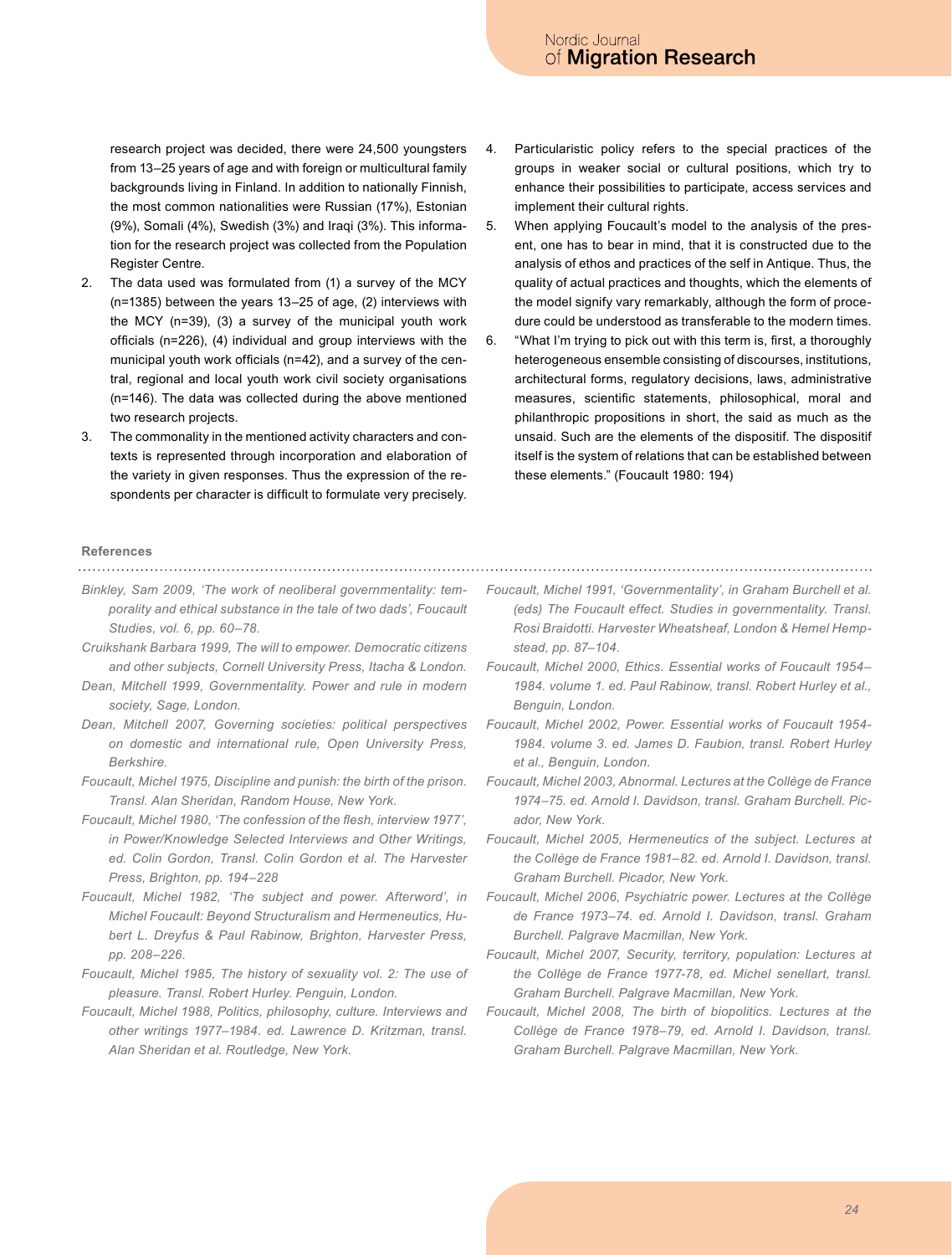research project was decided, there were 24,500 youngsters from 13–25 years of age and with foreign or multicultural family backgrounds living in Finland. In addition to nationally Finnish, the most common nationalities were Russian (17%), Estonian (9%), Somali (4%), Swedish (3%) and Iraqi (3%). This information for the research project was collected from the Population Register Centre.

- <span id="page-8-4"></span>2. The data used was formulated from (1) a survey of the MCY (n=1385) between the years 13–25 of age, (2) interviews with the MCY (n=39), (3) a survey of the municipal youth work officials (n=226), (4) individual and group interviews with the municipal youth work officials (n=42), and a survey of the central, regional and local youth work civil society organisations (n=146). The data was collected during the above mentioned two research projects.
- <span id="page-8-11"></span>3. The commonality in the mentioned activity characters and contexts is represented through incorporation and elaboration of the variety in given responses. Thus the expression of the respondents per character is difficult to formulate very precisely.
- <span id="page-8-12"></span>4. Particularistic policy refers to the special practices of the groups in weaker social or cultural positions, which try to enhance their possibilities to participate, access services and implement their cultural rights.
- <span id="page-8-16"></span>5. When applying Foucault's model to the analysis of the present, one has to bear in mind, that it is constructed due to the analysis of ethos and practices of the self in Antique. Thus, the quality of actual practices and thoughts, which the elements of the model signify vary remarkably, although the form of procedure could be understood as transferable to the modern times.
- <span id="page-8-18"></span>6. "What I'm trying to pick out with this term is, first, a thoroughly heterogeneous ensemble consisting of discourses, institutions, architectural forms, regulatory decisions, laws, administrative measures, scientific statements, philosophical, moral and philanthropic propositions in short, the said as much as the unsaid. Such are the elements of the dispositif. The dispositif itself is the system of relations that can be established between these elements." (Foucault 1980: 194)

#### **References**

<span id="page-8-10"></span>*Binkley, Sam 2009, 'The work of neoliberal governmentality: temporality and ethical substance in the tale of two dads', Foucault Studies, vol. 6, pp. 60–78.*

- <span id="page-8-17"></span>*Cruikshank Barbara 1999, The will to empower. Democratic citizens and other subjects, Cornell University Press, Itacha & London.*
- <span id="page-8-0"></span>*Dean, Mitchell 1999, Governmentality. Power and rule in modern society, Sage, London.*
- <span id="page-8-9"></span>*Dean, Mitchell 2007, Governing societies: political perspectives on domestic and international rule, Open University Press, Berkshire.*
- <span id="page-8-5"></span>*Foucault, Michel 1975, Discipline and punish: the birth of the prison. Transl. Alan Sheridan, Random House, New York.*
- *Foucault, Michel 1980, 'The confession of the flesh, interview 1977', in Power/Knowledge Selected Interviews and Other Writings, ed. Colin Gordon, Transl. Colin Gordon et al. The Harvester Press, Brighton, pp. 194–228*
- <span id="page-8-1"></span>*Foucault, Michel 1982, 'The subject and power. Afterword', in Michel Foucault: Beyond Structuralism and Hermeneutics, Hubert L. Dreyfus & Paul Rabinow, Brighton, Harvester Press, pp. 208–226.*
- <span id="page-8-15"></span>*Foucault, Michel 1985, The history of sexuality vol. 2: The use of pleasure. Transl. Robert Hurley. Penguin, London.*
- <span id="page-8-20"></span>*Foucault, Michel 1988, Politics, philosophy, culture. Interviews and other writings 1977–1984. ed. Lawrence D. Kritzman, transl. Alan Sheridan et al. Routledge, New York.*
- <span id="page-8-6"></span>*Foucault, Michel 1991, 'Governmentality', in Graham Burchell et al. (eds) The Foucault effect. Studies in governmentality. Transl. Rosi Braidotti. Harvester Wheatsheaf, London & Hemel Hempstead, pp. 87–104.*
- <span id="page-8-7"></span>*Foucault, Michel 2000, Ethics. Essential works of Foucault 1954– 1984. volume 1. ed. Paul Rabinow, transl. Robert Hurley et al., Benguin, London.*
- <span id="page-8-2"></span>*Foucault, Michel 2002, Power. Essential works of Foucault 1954- 1984. volume 3. ed. James D. Faubion, transl. Robert Hurley et al., Benguin, London.*
- <span id="page-8-13"></span>*Foucault, Michel 2003, Abnormal. Lectures at the Collège de France 1974–75. ed. Arnold I. Davidson, transl. Graham Burchell. Picador, New York.*
- <span id="page-8-8"></span>*Foucault, Michel 2005, Hermeneutics of the subject. Lectures at the Collège de France 1981–82. ed. Arnold I. Davidson, transl. Graham Burchell. Picador, New York.*
- <span id="page-8-14"></span>*Foucault, Michel 2006, Psychiatric power. Lectures at the Collège de France 1973–74. ed. Arnold I. Davidson, transl. Graham Burchell. Palgrave Macmillan, New York.*
- <span id="page-8-3"></span>*Foucault, Michel 2007, Security, territory, population: Lectures at the Collège de France 1977-78, ed. Michel senellart, transl. Graham Burchell. Palgrave Macmillan, New York.*
- <span id="page-8-19"></span>*Foucault, Michel 2008, The birth of biopolitics. Lectures at the Collège de France 1978–79, ed. Arnold I. Davidson, transl. Graham Burchell. Palgrave Macmillan, New York.*